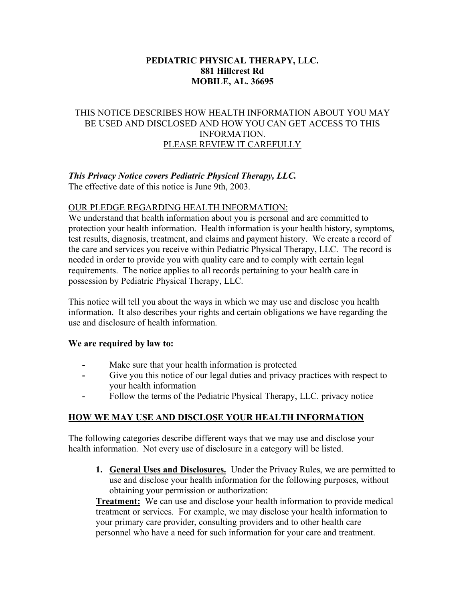#### **PEDIATRIC PHYSICAL THERAPY, LLC. 881 Hillcrest Rd MOBILE, AL. 36695**

#### THIS NOTICE DESCRIBES HOW HEALTH INFORMATION ABOUT YOU MAY BE USED AND DISCLOSED AND HOW YOU CAN GET ACCESS TO THIS INFORMATION. PLEASE REVIEW IT CAREFULLY

# *This Privacy Notice covers Pediatric Physical Therapy, LLC.*

The effective date of this notice is June 9th, 2003.

### OUR PLEDGE REGARDING HEALTH INFORMATION:

We understand that health information about you is personal and are committed to protection your health information. Health information is your health history, symptoms, test results, diagnosis, treatment, and claims and payment history. We create a record of the care and services you receive within Pediatric Physical Therapy, LLC. The record is needed in order to provide you with quality care and to comply with certain legal requirements. The notice applies to all records pertaining to your health care in possession by Pediatric Physical Therapy, LLC.

This notice will tell you about the ways in which we may use and disclose you health information. It also describes your rights and certain obligations we have regarding the use and disclosure of health information.

#### **We are required by law to:**

- **-** Make sure that your health information is protected
- **-** Give you this notice of our legal duties and privacy practices with respect to your health information
- **-** Follow the terms of the Pediatric Physical Therapy, LLC. privacy notice

## **HOW WE MAY USE AND DISCLOSE YOUR HEALTH INFORMATION**

The following categories describe different ways that we may use and disclose your health information. Not every use of disclosure in a category will be listed.

**1. General Uses and Disclosures.** Under the Privacy Rules, we are permitted to use and disclose your health information for the following purposes, without obtaining your permission or authorization:

**Treatment:** We can use and disclose your health information to provide medical treatment or services. For example, we may disclose your health information to your primary care provider, consulting providers and to other health care personnel who have a need for such information for your care and treatment.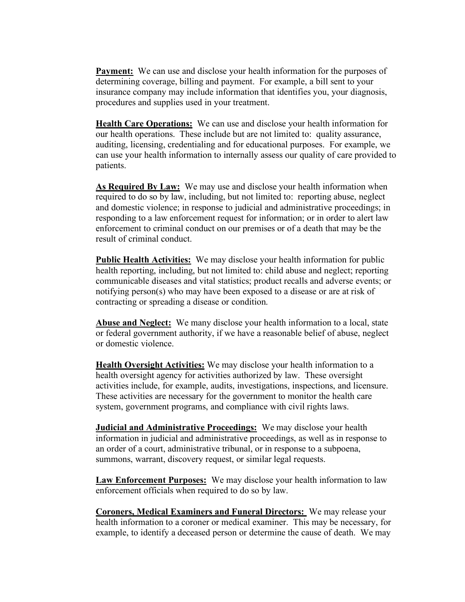**Payment:** We can use and disclose your health information for the purposes of determining coverage, billing and payment. For example, a bill sent to your insurance company may include information that identifies you, your diagnosis, procedures and supplies used in your treatment.

**Health Care Operations:** We can use and disclose your health information for our health operations. These include but are not limited to: quality assurance, auditing, licensing, credentialing and for educational purposes. For example, we can use your health information to internally assess our quality of care provided to patients.

**As Required By Law:** We may use and disclose your health information when required to do so by law, including, but not limited to: reporting abuse, neglect and domestic violence; in response to judicial and administrative proceedings; in responding to a law enforcement request for information; or in order to alert law enforcement to criminal conduct on our premises or of a death that may be the result of criminal conduct.

**Public Health Activities:** We may disclose your health information for public health reporting, including, but not limited to: child abuse and neglect; reporting communicable diseases and vital statistics; product recalls and adverse events; or notifying person(s) who may have been exposed to a disease or are at risk of contracting or spreading a disease or condition.

**Abuse and Neglect:** We many disclose your health information to a local, state or federal government authority, if we have a reasonable belief of abuse, neglect or domestic violence.

**Health Oversight Activities:** We may disclose your health information to a health oversight agency for activities authorized by law. These oversight activities include, for example, audits, investigations, inspections, and licensure. These activities are necessary for the government to monitor the health care system, government programs, and compliance with civil rights laws.

**Judicial and Administrative Proceedings:** We may disclose your health information in judicial and administrative proceedings, as well as in response to an order of a court, administrative tribunal, or in response to a subpoena, summons, warrant, discovery request, or similar legal requests.

**Law Enforcement Purposes:** We may disclose your health information to law enforcement officials when required to do so by law.

**Coroners, Medical Examiners and Funeral Directors:** We may release your health information to a coroner or medical examiner. This may be necessary, for example, to identify a deceased person or determine the cause of death. We may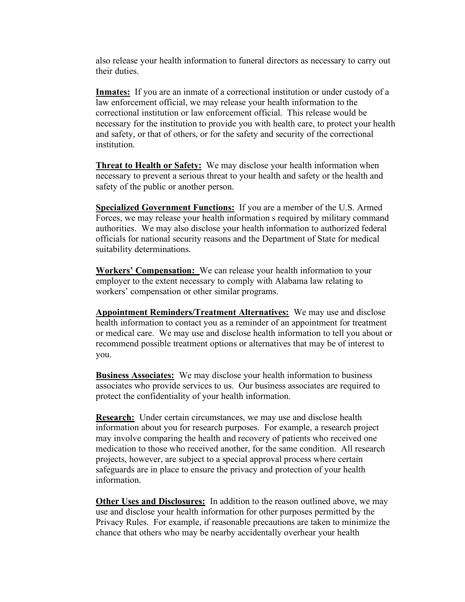also release your health information to funeral directors as necessary to carry out their duties.

**Inmates:** If you are an inmate of a correctional institution or under custody of a law enforcement official, we may release your health information to the correctional institution or law enforcement official. This release would be necessary for the institution to provide you with health care, to protect your health and safety, or that of others, or for the safety and security of the correctional institution.

**Threat to Health or Safety:** We may disclose your health information when necessary to prevent a serious threat to your health and safety or the health and safety of the public or another person.

**Specialized Government Functions:** If you are a member of the U.S. Armed Forces, we may release your health information s required by military command authorities. We may also disclose your health information to authorized federal officials for national security reasons and the Department of State for medical suitability determinations.

**Workers' Compensation:** We can release your health information to your employer to the extent necessary to comply with Alabama law relating to workers' compensation or other similar programs.

**Appointment Reminders/Treatment Alternatives:** We may use and disclose health information to contact you as a reminder of an appointment for treatment or medical care. We may use and disclose health information to tell you about or recommend possible treatment options or alternatives that may be of interest to you.

**Business Associates:** We may disclose your health information to business associates who provide services to us. Our business associates are required to protect the confidentiality of your health information.

**Research:** Under certain circumstances, we may use and disclose health information about you for research purposes. For example, a research project may involve comparing the health and recovery of patients who received one medication to those who received another, for the same condition. All research projects, however, are subject to a special approval process where certain safeguards are in place to ensure the privacy and protection of your health information.

**Other Uses and Disclosures:** In addition to the reason outlined above, we may use and disclose your health information for other purposes permitted by the Privacy Rules. For example, if reasonable precautions are taken to minimize the chance that others who may be nearby accidentally overhear your health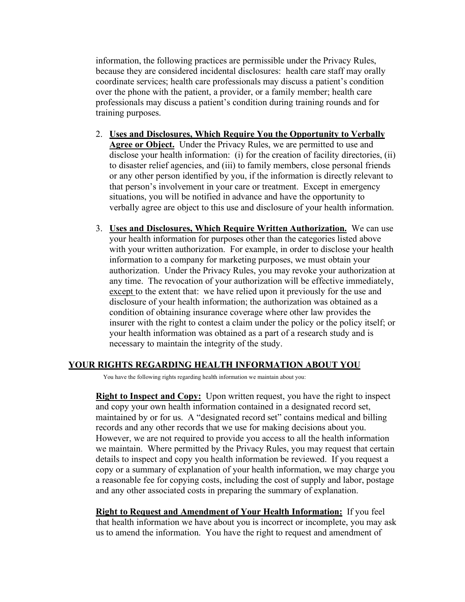information, the following practices are permissible under the Privacy Rules, because they are considered incidental disclosures: health care staff may orally coordinate services; health care professionals may discuss a patient's condition over the phone with the patient, a provider, or a family member; health care professionals may discuss a patient's condition during training rounds and for training purposes.

- 2. **Uses and Disclosures, Which Require You the Opportunity to Verbally Agree or Object.** Under the Privacy Rules, we are permitted to use and disclose your health information: (i) for the creation of facility directories, (ii) to disaster relief agencies, and (iii) to family members, close personal friends or any other person identified by you, if the information is directly relevant to that person's involvement in your care or treatment. Except in emergency situations, you will be notified in advance and have the opportunity to verbally agree are object to this use and disclosure of your health information.
- 3. **Uses and Disclosures, Which Require Written Authorization.** We can use your health information for purposes other than the categories listed above with your written authorization. For example, in order to disclose your health information to a company for marketing purposes, we must obtain your authorization. Under the Privacy Rules, you may revoke your authorization at any time. The revocation of your authorization will be effective immediately, except to the extent that: we have relied upon it previously for the use and disclosure of your health information; the authorization was obtained as a condition of obtaining insurance coverage where other law provides the insurer with the right to contest a claim under the policy or the policy itself; or your health information was obtained as a part of a research study and is necessary to maintain the integrity of the study.

#### **YOUR RIGHTS REGARDING HEALTH INFORMATION ABOUT YOU**

You have the following rights regarding health information we maintain about you:

**Right to Inspect and Copy:** Upon written request, you have the right to inspect and copy your own health information contained in a designated record set, maintained by or for us. A "designated record set" contains medical and billing records and any other records that we use for making decisions about you. However, we are not required to provide you access to all the health information we maintain. Where permitted by the Privacy Rules, you may request that certain details to inspect and copy you health information be reviewed. If you request a copy or a summary of explanation of your health information, we may charge you a reasonable fee for copying costs, including the cost of supply and labor, postage and any other associated costs in preparing the summary of explanation.

**Right to Request and Amendment of Your Health Information:** If you feel that health information we have about you is incorrect or incomplete, you may ask us to amend the information. You have the right to request and amendment of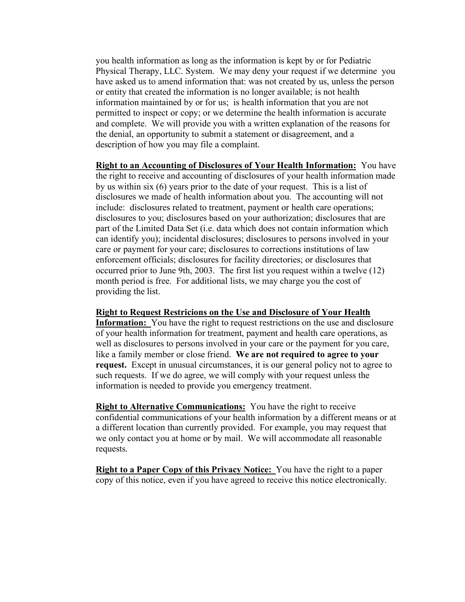you health information as long as the information is kept by or for Pediatric Physical Therapy, LLC. System. We may deny your request if we determine you have asked us to amend information that: was not created by us, unless the person or entity that created the information is no longer available; is not health information maintained by or for us; is health information that you are not permitted to inspect or copy; or we determine the health information is accurate and complete. We will provide you with a written explanation of the reasons for the denial, an opportunity to submit a statement or disagreement, and a description of how you may file a complaint.

**Right to an Accounting of Disclosures of Your Health Information:** You have the right to receive and accounting of disclosures of your health information made by us within six (6) years prior to the date of your request. This is a list of disclosures we made of health information about you. The accounting will not include: disclosures related to treatment, payment or health care operations; disclosures to you; disclosures based on your authorization; disclosures that are part of the Limited Data Set (i.e. data which does not contain information which can identify you); incidental disclosures; disclosures to persons involved in your care or payment for your care; disclosures to corrections institutions of law enforcement officials; disclosures for facility directories; or disclosures that occurred prior to June 9th, 2003. The first list you request within a twelve (12) month period is free. For additional lists, we may charge you the cost of providing the list.

#### **Right to Request Restricions on the Use and Disclosure of Your Health**

**Information:** You have the right to request restrictions on the use and disclosure of your health information for treatment, payment and health care operations, as well as disclosures to persons involved in your care or the payment for you care, like a family member or close friend. **We are not required to agree to your request.** Except in unusual circumstances, it is our general policy not to agree to such requests. If we do agree, we will comply with your request unless the information is needed to provide you emergency treatment.

**Right to Alternative Communications:** You have the right to receive confidential communications of your health information by a different means or at a different location than currently provided. For example, you may request that we only contact you at home or by mail. We will accommodate all reasonable requests.

**Right to a Paper Copy of this Privacy Notice:** You have the right to a paper copy of this notice, even if you have agreed to receive this notice electronically.